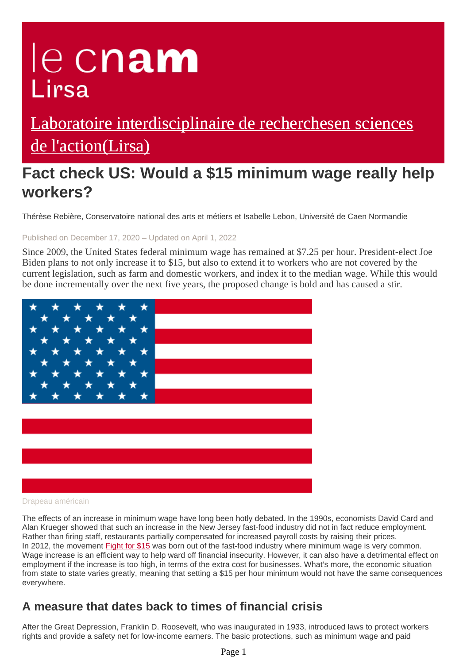# le cnam Lirsa

# [Laboratoire interdisciplinaire de recherchesen sciences](https://lirsa.cnam.fr/) de l'action(Lirsa)

# **Fact check US: Would a \$15 minimum wage really help workers?**

Thérèse Rebière, Conservatoire national des arts et métiers et Isabelle Lebon, Université de Caen Normandie

#### Published on December 17, 2020 – Updated on April 1, 2022

Since 2009, the United States federal minimum wage has remained at \$7.25 per hour. President-elect Joe Biden plans to not only increase it to \$15, but also to extend it to workers who are not covered by the current legislation, such as farm and domestic workers, and index it to the median wage. While this would be done incrementally over the next five years, the proposed change is bold and has caused a stir.



#### Drapeau américain

The effects of an increase in minimum wage have long been hotly debated. In the 1990s, economists David Card and Alan Krueger showed that such an increase in the New Jersey fast-food industry did not in fact reduce employment. Rather than firing staff, restaurants partially compensated for increased payroll costs by raising their prices. In 2012, the movement **Fight for \$15** was born out of the fast-food industry where minimum wage is very common. Wage increase is an efficient way to help ward off financial insecurity. However, it can also have a detrimental effect on employment if the increase is too high, in terms of the extra cost for businesses. What's more, the economic situation from state to state varies greatly, meaning that setting a \$15 per hour minimum would not have the same consequences everywhere.

## **A measure that dates back to times of financial crisis**

After the Great Depression, Franklin D. Roosevelt, who was inaugurated in 1933, introduced laws to protect workers rights and provide a safety net for low-income earners. The basic protections, such as minimum wage and paid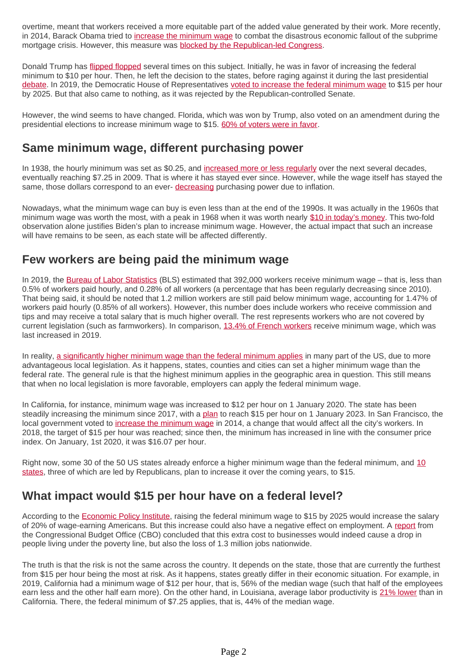overtime, meant that workers received a more equitable part of the added value generated by their work. More recently, in 2014, Barack Obama tried to [increase the minimum wage](https://www.theguardian.com/business/2016/sep/05/barack-obama-us-minimum-wage-republicans-tom-perez) to combat the disastrous economic fallout of the subprime mortgage crisis. However, this measure was [blocked by the Republican-led Congress](https://www.reuters.com/article/us-usa-senate-minimumwage-idUSBREA3T0PT20140430).

Donald Trump has [flipped flopped](https://www.vox.com/2020/10/22/21529733/donald-trump-minimum-wage-debate) several times on this subject. Initially, he was in favor of increasing the federal minimum to \$10 per hour. Then, he left the decision to the states, before raging against it during the last presidential [debate.](https://www.washingtonpost.com/business/2020/10/23/debate-minimum-wage-increase/) In 2019, the Democratic House of Representatives [voted to increase the federal minimum wage](https://www.nytimes.com/2019/07/18/us/politics/minimum-wage.html) to \$15 per hour by 2025. But that also came to nothing, as it was rejected by the Republican-controlled Senate.

However, the wind seems to have changed. Florida, which was won by Trump, also voted on an amendment during the presidential elections to increase minimum wage to \$15. [60% of voters were in favor](https://ballotpedia.org/Florida_Amendment_2,_%2415_Minimum_Wage_Initiative_(2020)).

#### **Same minimum wage, different purchasing power**

In 1938, the hourly minimum was set as \$0.25, and [increased more or less regularly](https://www.pewresearch.org/fact-tank/2017/01/04/5-facts-about-the-minimum-wage/) over the next several decades, eventually reaching \$7.25 in 2009. That is where it has stayed ever since. However, while the wage itself has stayed the same, those dollars correspond to an ever- [decreasing](https://fred.stlouisfed.org/graph/?g=ex3l) purchasing power due to inflation.

Nowadays, what the minimum wage can buy is even less than at the end of the 1990s. It was actually in the 1960s that minimum wage was worth the most, with a peak in 1968 when it was worth nearly [\\$10 in today's money](https://www.epi.org/blog/raising-the-minimum-wage-to-15-by-2025-will-restore-bargaining-power-to-workers-during-the-recovery-from-the-pandemic/). This two-fold observation alone justifies Biden's plan to increase minimum wage. However, the actual impact that such an increase will have remains to be seen, as each state will be affected differently.

## **Few workers are being paid the minimum wage**

In 2019, the [Bureau of Labor Statistics](https://www.bls.gov/opub/reports/minimum-wage/2019/home.htm) (BLS) estimated that 392,000 workers receive minimum wage – that is, less than 0.5% of workers paid hourly, and 0.28% of all workers (a percentage that has been regularly decreasing since 2010). That being said, it should be noted that 1.2 million workers are still paid below minimum wage, accounting for 1.47% of workers paid hourly (0.85% of all workers). However, this number does include workers who receive commission and tips and may receive a total salary that is much higher overall. The rest represents workers who are not covered by current legislation (such as farmworkers). In comparison, [13.4% of French workers](https://www.lefigaro.fr/conjoncture/la-part-des-salaries-remuneres-au-smic-au-plus-haut-depuis-11-ans-20191213) receive minimum wage, which was last increased in 2019.

In reality, [a significantly higher minimum wage than the federal minimum applies](https://www.dol.gov/agencies/whd/minimum-wage/state#wy) in many part of the US, due to more advantageous local legislation. As it happens, states, counties and cities can set a higher minimum wage than the federal rate. The general rule is that the highest minimum applies in the geographic area in question. This still means that when no local legislation is more favorable, employers can apply the federal minimum wage.

In California, for instance, minimum wage was increased to \$12 per hour on 1 January 2020. The state has been steadily increasing the minimum since 2017, with a [plan](https://www.dir.ca.gov/dlse/faq_minimumwage.htm) to reach \$15 per hour on 1 January 2023. In San Francisco, the local government voted to [increase the minimum wage](https://sfgov.org/olse/minimum-wage-ordinance-mwo) in 2014, a change that would affect all the city's workers. In 2018, the target of \$15 per hour was reached; since then, the minimum has increased in line with the consumer price index. On January, 1st 2020, it was \$16.07 per hour.

Right now, some 30 of the 50 US states already enforce a higher minimum wage than the federal minimum, and [10](https://joinhomebase.com/blog/state-minimum-wage-2021/) [states,](https://joinhomebase.com/blog/state-minimum-wage-2021/) three of which are led by Republicans, plan to increase it over the coming years, to \$15.

#### **What impact would \$15 per hour have on a federal level?**

According to the [Economic Policy Institute,](https://www.epi.org/publication/minimum-wage-15-by-2025/) raising the federal minimum wage to \$15 by 2025 would increase the salary of 20% of wage-earning Americans. But this increase could also have a negative effect on employment. A [report](https://www.cbo.gov/system/files/2019-07/CBO-55410-MinimumWage2019.pdf) from the Congressional Budget Office (CBO) concluded that this extra cost to businesses would indeed cause a drop in people living under the poverty line, but also the loss of 1.3 million jobs nationwide.

The truth is that the risk is not the same across the country. It depends on the state, those that are currently the furthest from \$15 per hour being the most at risk. As it happens, states greatly differ in their economic situation. For example, in 2019, California had a minimum wage of \$12 per hour, that is, 56% of the median wage (such that half of the employees earn less and the other half earn more). On the other hand, in Louisiana, average labor productivity is [21% lower](https://www.bls.gov/lpc/state-productivity.htm) than in California. There, the federal minimum of \$7.25 applies, that is, 44% of the median wage.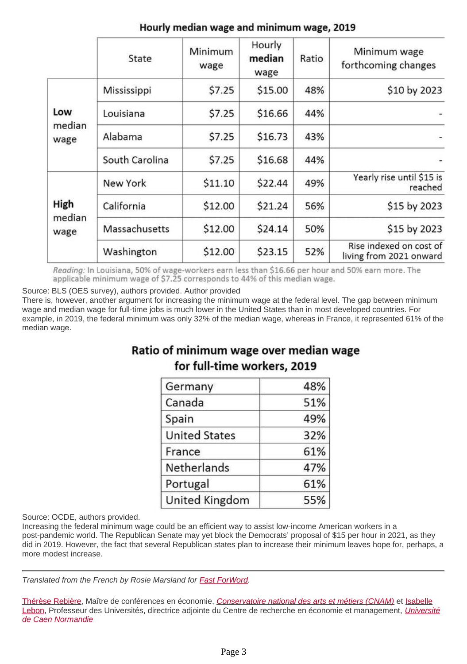|                        | State          | Minimum<br>wage | Hourly<br>median<br>wage | Ratio | Minimum wage<br>forthcoming changes                |
|------------------------|----------------|-----------------|--------------------------|-------|----------------------------------------------------|
| Low<br>median<br>wage  | Mississippi    | \$7.25          | \$15.00                  | 48%   | \$10 by 2023                                       |
|                        | Louisiana      | \$7.25          | \$16.66                  | 44%   |                                                    |
|                        | Alabama        | \$7.25          | \$16.73                  | 43%   |                                                    |
|                        | South Carolina | \$7.25          | \$16.68                  | 44%   |                                                    |
| High<br>median<br>wage | New York       | \$11.10         | \$22.44                  | 49%   | Yearly rise until \$15 is<br>reached               |
|                        | California     | \$12.00         | \$21.24                  | 56%   | \$15 by 2023                                       |
|                        | Massachusetts  | \$12.00         | \$24.14                  | 50%   | \$15 by 2023                                       |
|                        | Washington     | \$12.00         | \$23.15                  | 52%   | Rise indexed on cost of<br>living from 2021 onward |

#### Hourly median wage and minimum wage, 2019

Reading: In Louisiana, 50% of wage-workers earn less than \$16.66 per hour and 50% earn more. The applicable minimum wage of \$7.25 corresponds to 44% of this median wage.

Source: BLS (OES survey), authors provided. Author provided

There is, however, another argument for increasing the minimum wage at the federal level. The gap between minimum wage and median wage for full-time jobs is much lower in the United States than in most developed countries. For example, in 2019, the federal minimum was only 32% of the median wage, whereas in France, it represented 61% of the median wage.

## Ratio of minimum wage over median wage for full-time workers, 2019

| Germany              | 48% |
|----------------------|-----|
| Canada               | 51% |
| Spain                | 49% |
| <b>United States</b> | 32% |
| France               | 61% |
| Netherlands          | 47% |
| Portugal             | 61% |
| United Kingdom       | 55% |

Source: OCDE, authors provided.

Increasing the federal minimum wage could be an efficient way to assist low-income American workers in a post-pandemic world. The Republican Senate may yet block the Democrats' proposal of \$15 per hour in 2021, as they did in 2019. However, the fact that several Republican states plan to increase their minimum leaves hope for, perhaps, a more modest increase.

Translated from the French by Rosie Marsland for [Fast ForWord](http://www.fastforword.fr/en).

[Thérèse Rebière,](https://theconversation.com/profiles/therese-rebiere-1032905) Maître de conférences en économie, [Conservatoire national des arts et métiers \(CNAM\)](https://theconversation.com/institutions/conservatoire-national-des-arts-et-metiers-cnam-2427) et [Isabelle](https://theconversation.com/profiles/isabelle-lebon-1034765) [Lebon,](https://theconversation.com/profiles/isabelle-lebon-1034765) Professeur des [Université](https://theconversation.com/institutions/universite-de-caen-normandie-2555)s, directrice adjointe du Centre de recherche en économie et management, *Université* [de Caen Normandie](https://theconversation.com/institutions/universite-de-caen-normandie-2555)